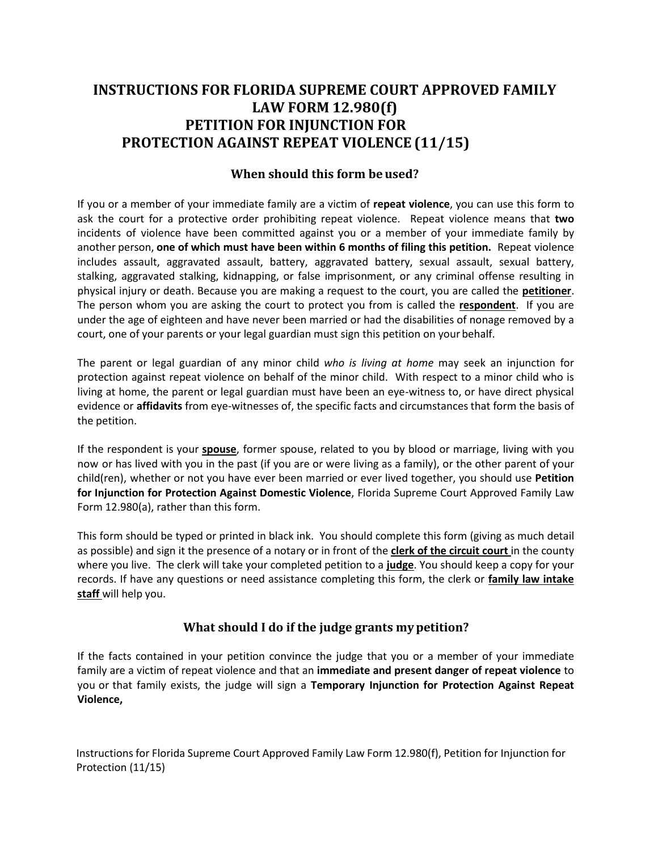# **PETITION FOR INJUNCTION FOR PETITION FOR INJUNCTION FOR PROTECTION AGAINST REPEAT VIOLENCE (11/15) INSTRUCTIONS FOR FLORIDA SUPREME COURT APPROVED FAMILY LAW FORM 12.980(f)**

# **When should this form be used?**

 If you or a member of your immediate family are a victim of **repeat violence**, you can use this form to ask the court for a protective order prohibiting repeat violence. Repeat violence means that **two**  incidents of violence have been committed against you or a member of your immediate family by  another person, **one of which must have been within 6 months of filing this petition.** Repeat violence stalking, aggravated stalking, kidnapping, or false imprisonment, or any criminal offense resulting in physical injury or death. Because you are making a request to the court, you are called the **petitioner**. The person whom you are asking the court to protect you from is called the **respondent**. If you are under the age of eighteen and have never been married or had the disabilities of nonage removed by a court, one of your parents or your legal guardian must sign this petition on your behalf. includes assault, aggravated assault, battery, aggravated battery, sexual assault, sexual battery,

 The parent or legal guardian of any minor child *who is living at home* may seek an injunction for protection against repeat violence on behalf of the minor child. With respect to a minor child who is living at home, the parent or legal guardian must have been an eye-witness to, or have direct physical evidence or **affidavits** from eye-witnesses of, the specific facts and circumstances that form the basis of the petition.

 If the respondent is your **spouse**, former spouse, related to you by blood or marriage, living with you now or has lived with you in the past (if you are or were living as a family), or the other parent of your child(ren), whether or not you have ever been married or ever lived together, you should use **Petition for Injunction for Protection Against Domestic Violence**, Florida Supreme Court Approved Family Law Form 12.980(a), rather than this form.

 This form should be typed or printed in black ink. You should complete this form (giving as much detail  records. If have any questions or need assistance completing this form, the clerk or **family law intake staff** will help you. as possible) and sign it the presence of a notary or in front of the **clerk of the circuit court** in the county where you live. The clerk will take your completed petition to a **judge**. You should keep a copy for your

# **What should I do if the judge grants my petition?**

 If the facts contained in your petition convince the judge that you or a member of your immediate family are a victim of repeat violence and that an **immediate and present danger of repeat violence** to you or that family exists, the judge will sign a **Temporary Injunction for Protection Against Repeat Violence,** 

Instructions for Florida Supreme Court Approved Family Law Form 12.980(f), Petition for Injunction for Protection (11/15)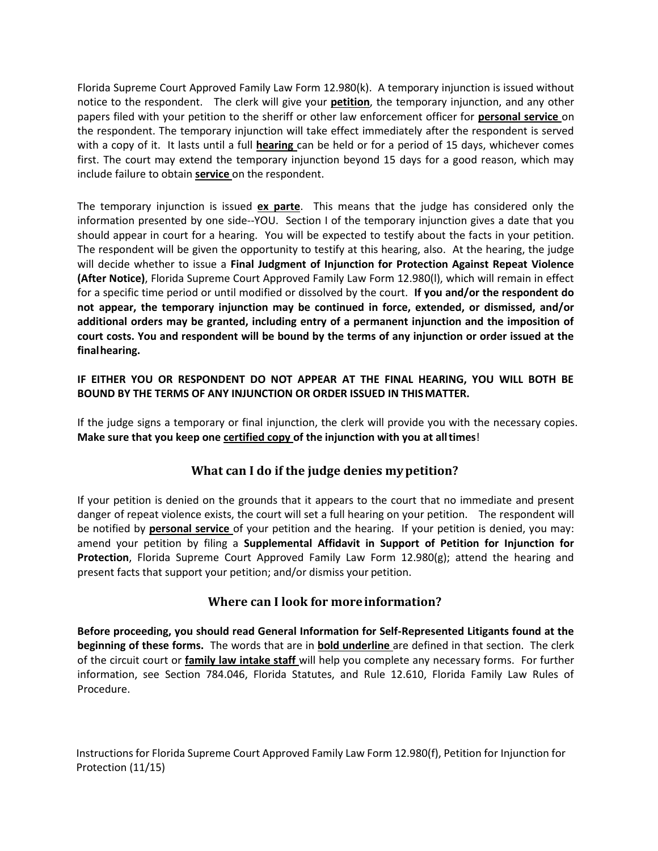Florida Supreme Court Approved Family Law Form 12.980(k). A temporary injunction is issued without notice to the respondent. The clerk will give your **petition**, the temporary injunction, and any other papers filed with your petition to the sheriff or other law enforcement officer for **personal service** on the respondent. The temporary injunction will take effect immediately after the respondent is served with a copy of it. It lasts until a full **hearing** can be held or for a period of 15 days, whichever comes first. The court may extend the temporary injunction beyond 15 days for a good reason, which may include failure to obtain **service** on the respondent.

 The temporary injunction is issued **ex parte**. This means that the judge has considered only the information presented by one side--YOU. Section I of the temporary injunction gives a date that you should appear in court for a hearing. You will be expected to testify about the facts in your petition. The respondent will be given the opportunity to testify at this hearing, also. At the hearing, the judge  will decide whether to issue a **Final Judgment of Injunction for Protection Against Repeat Violence (After Notice)**, Florida Supreme Court Approved Family Law Form 12.980(l), which will remain in effect for a specific time period or until modified or dissolved by the court. **If you and/or the respondent do not appear, the temporary injunction may be continued in force, extended, or dismissed, and/or additional orders may be granted, including entry of a permanent injunction and the imposition of court costs. You and respondent will be bound by the terms of any injunction or order issued at the finalhearing.** 

## **IF EITHER YOU OR RESPONDENT DO NOT APPEAR AT THE FINAL HEARING, YOU WILL BOTH BE BOUND BY THE TERMS OF ANY INJUNCTION OR ORDER ISSUED IN THIS MATTER.**

 If the judge signs a temporary or final injunction, the clerk will provide you with the necessary copies.  **Make sure that you keep one certified copy of the injunction with you at all times**!

## **What can I do if the judge denies my petition?**

 If your petition is denied on the grounds that it appears to the court that no immediate and present danger of repeat violence exists, the court will set a full hearing on your petition. The respondent will be notified by **personal service** of your petition and the hearing. If your petition is denied, you may: amend your petition by filing a **Supplemental Affidavit in Support of Petition for Injunction for Protection**, Florida Supreme Court Approved Family Law Form 12.980(g); attend the hearing and present facts that support your petition; and/or dismiss your petition.

#### **Where can I look for more information?**

 **Before proceeding, you should read General Information for Self-Represented Litigants found at the beginning of these forms.** The words that are in **bold underline** are defined in that section. The clerk  of the circuit court or **family law intake staff** will help you complete any necessary forms. For further information, see Section 784.046, Florida Statutes, and Rule 12.610, Florida Family Law Rules of Procedure.

Instructions for Florida Supreme Court Approved Family Law Form 12.980(f), Petition for Injunction for Protection (11/15)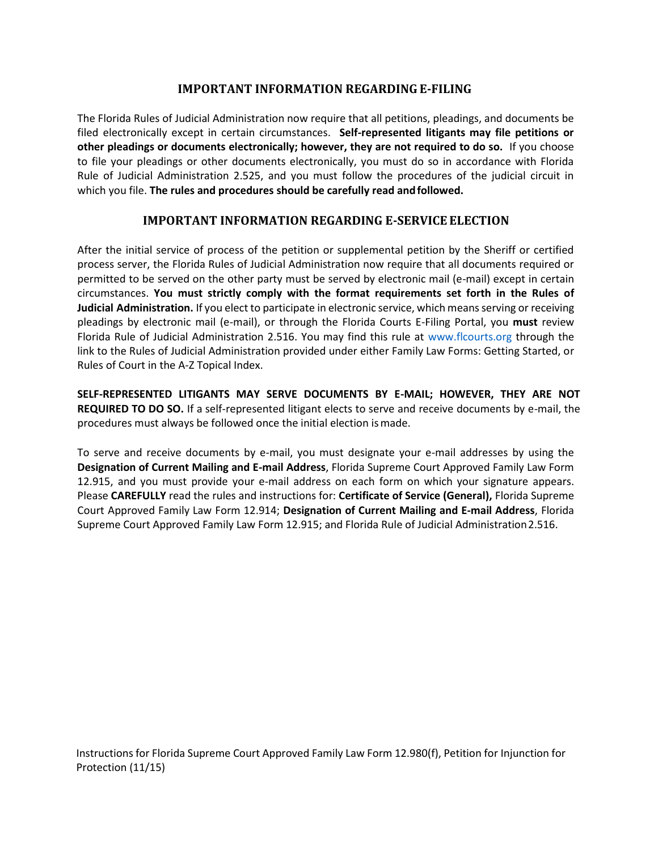## **IMPORTANT INFORMATION REGARDING E-FILING**

 filed electronically except in certain circumstances. **Self-represented litigants may file petitions or other pleadings or documents electronically; however, they are not required to do so.** If you choose to file your pleadings or other documents electronically, you must do so in accordance with Florida Rule of Judicial Administration 2.525, and you must follow the procedures of the judicial circuit in  which you file. **The rules and procedures should be carefully read and followed.**  The Florida Rules of Judicial Administration now require that all petitions, pleadings, and documents be

# **IMPORTANT INFORMATION REGARDING E-SERVICE ELECTION**

 After the initial service of process of the petition or supplemental petition by the Sheriff or certified permitted to be served on the other party must be served by electronic mail (e-mail) except in certain  circumstances. **You must strictly comply with the format requirements set forth in the Rules of Judicial Administration.** If you elect to participate in electronic service, which means serving or receiving pleadings by electronic mail (e-mail), or through the Florida Courts E-Filing Portal, you **must** review Florida Rule of Judicial Administration 2.516. You may find this rule at [www.flcourts.org](http://www.flcourts.org/) through the link to the Rules of Judicial Administration provided under either Family Law Forms: Getting Started, or Rules of Court in the A-Z Topical Index. process server, the Florida Rules of Judicial Administration now require that all documents required or

 **SELF-REPRESENTED LITIGANTS MAY SERVE DOCUMENTS BY E-MAIL; HOWEVER, THEY ARE NOT REQUIRED TO DO SO.** If a self-represented litigant elects to serve and receive documents by e-mail, the procedures must always be followed once the initial election is made.

 To serve and receive documents by e-mail, you must designate your e-mail addresses by using the  **Designation of Current Mailing and E-mail Address**, Florida Supreme Court Approved Family Law Form 12.915, and you must provide your e-mail address on each form on which your signature appears. Court Approved Family Law Form 12.914; **Designation of Current Mailing and E-mail Address**, Florida Supreme Court Approved Family Law Form 12.915; and Florida Rule of Judicial Administration2.516. Please **CAREFULLY** read the rules and instructions for: **Certificate of Service (General),** Florida Supreme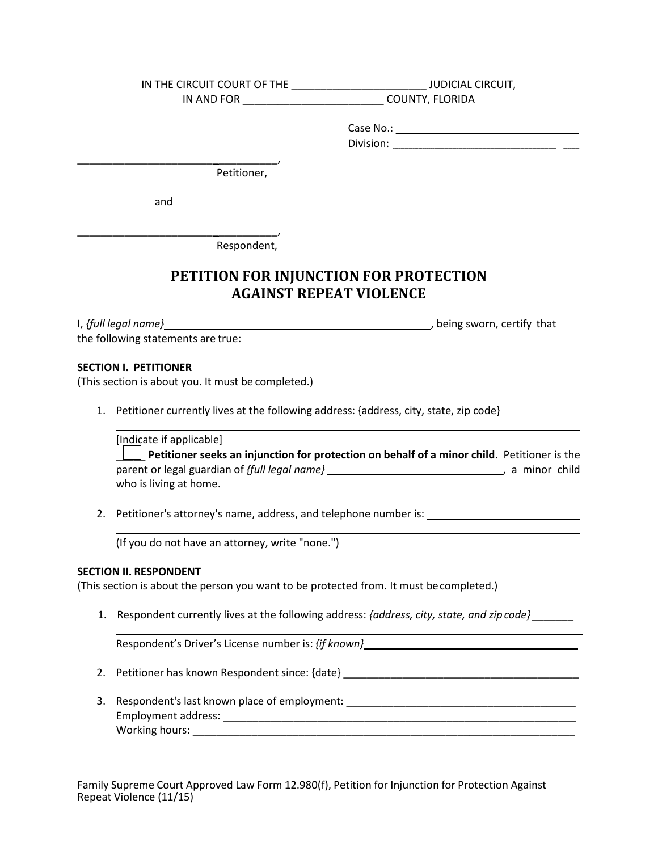| IN THE CIRCUIT COURT OF THE | <b>JUDICIAL CIRCUIT,</b> |
|-----------------------------|--------------------------|
| IN AND FOR                  | COUNTY, FLORIDA          |
|                             |                          |
|                             | Case No.:                |

Division: **with a set of the set of the set of the set of the set of the set of the set of the set of the set o** 

Petitioner,

and

\_\_\_\_\_\_\_\_\_\_\_\_\_\_\_\_\_\_\_\_\_\_\_\_\_\_\_\_\_\_\_\_\_\_,

\_\_\_\_\_\_\_\_\_\_\_\_\_\_\_\_\_\_\_\_\_\_\_\_\_\_\_\_\_\_\_\_\_\_,

Respondent,

# **PETITION FOR INJUNCTION FOR PROTECTIONAGAINST REPEAT VIOLENCEAGAINST REPEAT VIOLENCE**

I, *{full legal name}* 1, that is a set of the set of the set of that is a set of the sworn, certify that the following statements are true:

#### **SECTION I. PETITIONER**

L

L

(This section is about you. It must be completed.)

1. Petitioner currently lives at the following address: {address, city, state, zip code}<br>
[Indicate if applicable]

 parent or legal guardian of *{full legal name}*  , a minor child **Lettioner seeks an injunction for protection on behalf of a minor child**. Petitioner is the who is living at home.

2. Petitioner's attorney's name, address, and telephone number is:

(If you do not have an attorney, write "none.")

#### **SECTION II. RESPONDENT**

(This section is about the person you want to be protected from. It must becompleted.)

 1. Respondent currently lives at the following address: *{address, city, state, and zip code} \_\_\_\_\_\_\_* 

Respondent's Driver's License number is: {if known} \_\_\_\_\_\_\_\_\_\_\_\_\_\_\_\_\_\_\_\_\_\_\_\_\_\_\_\_\_

- 2. Petitioner has known Respondent since: {date} \_\_\_\_\_\_\_\_\_\_\_\_\_\_\_\_\_\_\_\_\_\_\_\_\_\_\_\_\_\_\_\_\_\_\_\_\_\_\_\_
- 3. Respondent's last known place of employment: \_\_\_\_\_\_\_\_\_\_\_\_\_\_\_\_\_\_\_\_\_\_\_\_\_\_\_\_\_\_\_\_ Employment address: \_\_\_\_\_\_\_\_\_\_\_\_\_\_\_\_\_\_\_\_\_\_\_\_\_\_\_\_\_\_\_\_\_\_\_\_\_\_\_\_\_\_\_\_\_\_\_\_\_\_\_\_\_\_\_\_\_\_\_\_ Working hours: \_\_\_\_\_\_\_\_\_\_\_\_\_\_\_\_\_\_\_\_\_\_\_\_\_\_\_\_\_\_\_\_\_\_\_\_\_\_\_\_\_\_\_\_\_\_\_\_\_\_\_\_\_\_\_\_\_\_\_\_\_\_\_\_\_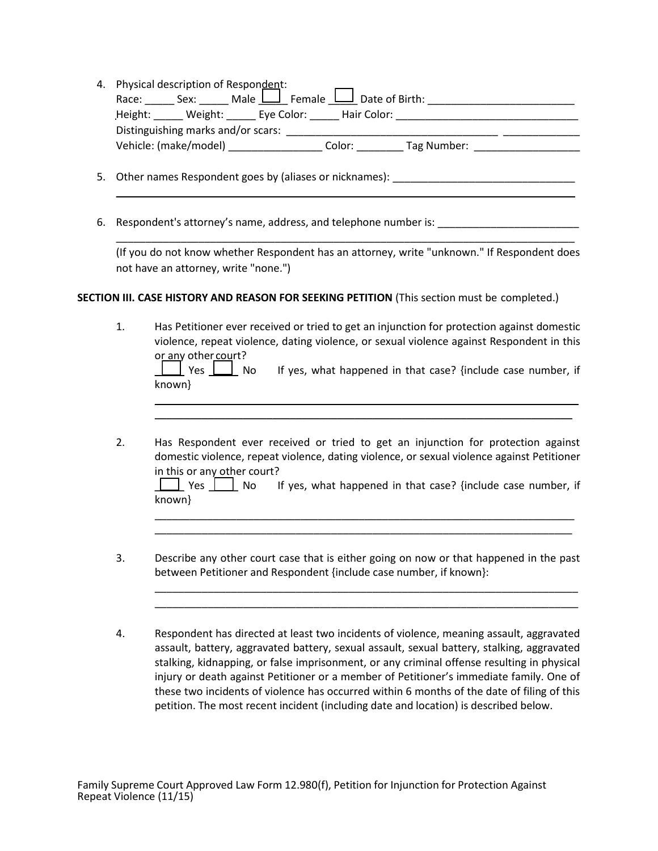| 4. Physical description of Respondent:              |             |             |  |
|-----------------------------------------------------|-------------|-------------|--|
| Race: Sex: Male $\Box$ Female $\Box$ Date of Birth: |             |             |  |
| Height: Weight: Eye Color:                          | Hair Color: |             |  |
| Distinguishing marks and/or scars:                  |             |             |  |
| Vehicle: (make/model)                               | Color:      | Tag Number: |  |
|                                                     |             |             |  |

5. Other names Respondent goes by (aliases or nicknames): \_\_\_\_\_\_\_\_\_\_\_\_\_\_\_\_\_\_\_\_\_\_\_

6. Respondent's attorney's name, address, and telephone number is: \_\_\_\_\_\_\_\_\_\_\_\_\_\_\_\_\_\_\_\_

 (If you do not know whether Respondent has an attorney, write "unknown." If Respondent does not have an attorney, write "none.")

\_\_\_\_\_\_\_\_\_\_\_\_\_\_\_\_\_\_\_\_\_\_\_\_\_\_\_\_\_\_\_\_\_\_\_\_\_\_\_\_\_\_\_\_\_\_\_\_\_\_\_\_\_\_\_\_\_\_\_\_\_\_\_\_\_\_\_\_\_\_\_\_\_\_\_\_\_\_

\_\_\_\_\_\_\_\_\_\_\_\_\_\_\_\_\_\_\_\_\_\_\_\_\_\_\_\_\_\_\_\_\_\_\_\_\_\_\_\_\_\_\_\_\_\_\_\_\_\_\_\_\_\_\_\_\_\_\_\_\_\_\_\_\_\_\_\_\_\_\_\_\_\_\_\_\_\_

## **SECTION III. CASE HISTORY AND REASON FOR SEEKING PETITION** (This section must be completed.)

| violence, repeat violence, dating violence, or sexual violence against Respondent in this |
|-------------------------------------------------------------------------------------------|
|                                                                                           |
| If yes, what happened in that case? {include case number, if                              |
|                                                                                           |

2. Has Respondent ever received or tried to get an injunction for protection against domestic violence, repeat violence, dating violence, or sexual violence against Petitioner in this or any other court?  $2.$ 

LU Yes II No If yes, what happened in that case? {include case number, if known}

\_\_\_\_\_\_\_\_\_\_\_\_\_\_\_\_\_\_\_\_\_\_\_\_\_\_\_\_\_\_\_\_\_\_\_\_\_\_\_\_\_\_\_\_\_\_\_\_\_\_\_\_\_\_\_\_\_\_\_\_\_\_\_\_\_\_\_\_\_\_\_\_ \_\_\_\_\_\_\_\_\_\_\_\_\_\_\_\_\_\_\_\_\_\_\_\_\_\_\_\_\_\_\_\_\_\_\_\_\_\_\_\_\_\_\_\_\_\_\_\_\_\_\_\_\_\_\_\_\_\_\_\_\_\_\_\_\_\_\_\_\_\_\_

\_\_\_\_\_\_\_\_\_\_\_\_\_\_\_\_\_\_\_\_\_\_\_\_\_\_\_\_\_\_\_\_\_\_\_\_\_\_\_\_\_\_\_\_\_\_\_\_\_\_\_\_\_\_\_\_\_\_\_\_\_\_\_\_\_\_\_\_\_\_\_\_ \_\_\_\_\_\_\_\_\_\_\_\_\_\_\_\_\_\_\_\_\_\_\_\_\_\_\_\_\_\_\_\_\_\_\_\_\_\_\_\_\_\_\_\_\_\_\_\_\_\_\_\_\_\_\_\_\_\_\_\_\_\_\_\_\_\_\_\_\_\_\_\_

\_\_\_\_\_\_\_\_\_\_\_\_\_\_\_\_\_\_\_\_\_\_\_\_\_\_\_\_\_\_\_\_\_\_\_\_\_\_\_\_\_\_\_\_\_\_\_\_\_\_\_\_\_\_\_\_\_\_\_\_\_\_\_\_\_\_\_\_\_\_\_

- 3. Describe any other court case that is either going on now or that happened in the past  $3.$ between Petitioner and Respondent {include case number, if known}:
- assault, battery, aggravated battery, sexual assault, sexual battery, stalking, aggravated stalking, kidnapping, or false imprisonment, or any criminal offense resulting in physical injury or death against Petitioner or a member of Petitioner's immediate family; One of these two incidents of violence has occurred within 6 months of the date of filing of this 4. 4.Respondent has directed at least two incidents of violence, meaning assault, aggravated petition. The most recent incident (including date and location) is described below.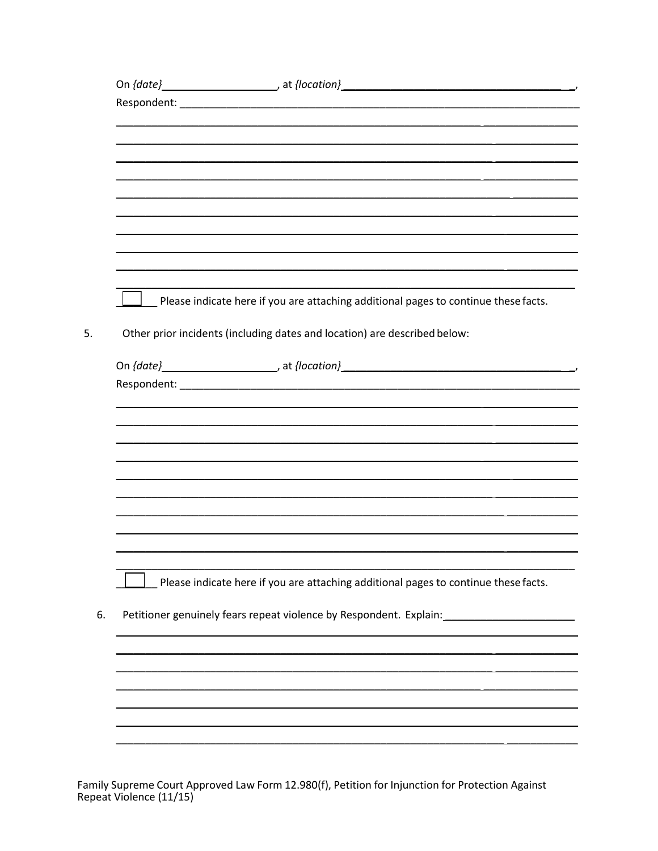| $\perp$ Please indicate here if you are attaching additional pages to continue these facts.<br>Other prior incidents (including dates and location) are described below:<br>Please indicate here if you are attaching additional pages to continue these facts.<br>Petitioner genuinely fears repeat violence by Respondent. Explain: ______________ |  |  |
|------------------------------------------------------------------------------------------------------------------------------------------------------------------------------------------------------------------------------------------------------------------------------------------------------------------------------------------------------|--|--|
|                                                                                                                                                                                                                                                                                                                                                      |  |  |
|                                                                                                                                                                                                                                                                                                                                                      |  |  |
|                                                                                                                                                                                                                                                                                                                                                      |  |  |
|                                                                                                                                                                                                                                                                                                                                                      |  |  |
|                                                                                                                                                                                                                                                                                                                                                      |  |  |
|                                                                                                                                                                                                                                                                                                                                                      |  |  |
|                                                                                                                                                                                                                                                                                                                                                      |  |  |
|                                                                                                                                                                                                                                                                                                                                                      |  |  |
|                                                                                                                                                                                                                                                                                                                                                      |  |  |
|                                                                                                                                                                                                                                                                                                                                                      |  |  |
|                                                                                                                                                                                                                                                                                                                                                      |  |  |
|                                                                                                                                                                                                                                                                                                                                                      |  |  |
|                                                                                                                                                                                                                                                                                                                                                      |  |  |
|                                                                                                                                                                                                                                                                                                                                                      |  |  |
|                                                                                                                                                                                                                                                                                                                                                      |  |  |
|                                                                                                                                                                                                                                                                                                                                                      |  |  |
|                                                                                                                                                                                                                                                                                                                                                      |  |  |
|                                                                                                                                                                                                                                                                                                                                                      |  |  |
|                                                                                                                                                                                                                                                                                                                                                      |  |  |
|                                                                                                                                                                                                                                                                                                                                                      |  |  |
|                                                                                                                                                                                                                                                                                                                                                      |  |  |
|                                                                                                                                                                                                                                                                                                                                                      |  |  |
|                                                                                                                                                                                                                                                                                                                                                      |  |  |
|                                                                                                                                                                                                                                                                                                                                                      |  |  |
|                                                                                                                                                                                                                                                                                                                                                      |  |  |
|                                                                                                                                                                                                                                                                                                                                                      |  |  |
|                                                                                                                                                                                                                                                                                                                                                      |  |  |
|                                                                                                                                                                                                                                                                                                                                                      |  |  |
|                                                                                                                                                                                                                                                                                                                                                      |  |  |
|                                                                                                                                                                                                                                                                                                                                                      |  |  |
|                                                                                                                                                                                                                                                                                                                                                      |  |  |
|                                                                                                                                                                                                                                                                                                                                                      |  |  |
|                                                                                                                                                                                                                                                                                                                                                      |  |  |
|                                                                                                                                                                                                                                                                                                                                                      |  |  |
|                                                                                                                                                                                                                                                                                                                                                      |  |  |
|                                                                                                                                                                                                                                                                                                                                                      |  |  |
|                                                                                                                                                                                                                                                                                                                                                      |  |  |
|                                                                                                                                                                                                                                                                                                                                                      |  |  |
|                                                                                                                                                                                                                                                                                                                                                      |  |  |

Family Supreme Court Approved Law Form 12.980(f), Petition for Injunction for Protection Against Repeat Violence (11/15)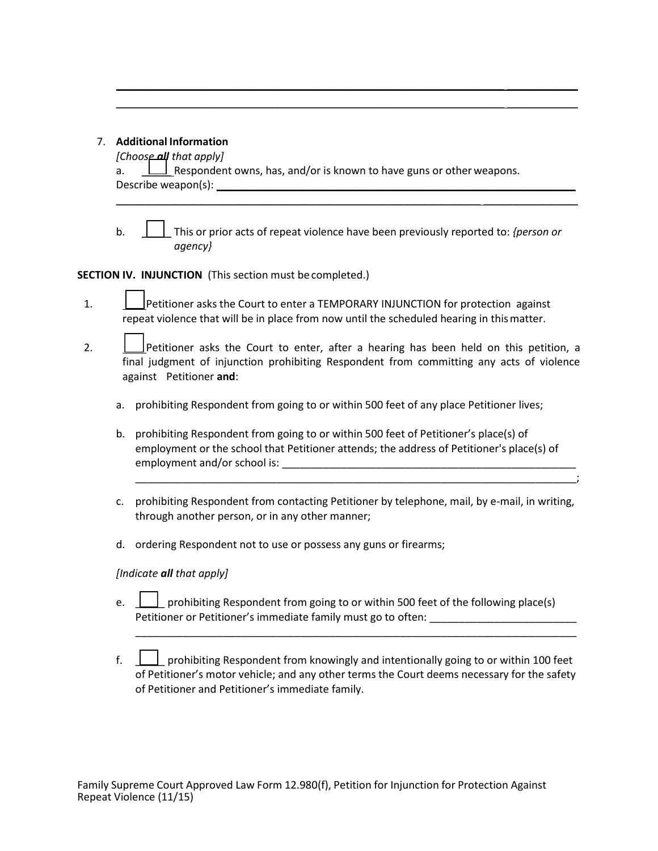### 7.**Additional Information**

| 7. | <b>Additional Information</b><br>[Choose all that apply]                                                                                                                                                                                                                                                                                                                                                                 |  |  |  |
|----|--------------------------------------------------------------------------------------------------------------------------------------------------------------------------------------------------------------------------------------------------------------------------------------------------------------------------------------------------------------------------------------------------------------------------|--|--|--|
|    | $\perp$ Respondent owns, has, and/or is known to have guns or other weapons.<br>a.                                                                                                                                                                                                                                                                                                                                       |  |  |  |
|    |                                                                                                                                                                                                                                                                                                                                                                                                                          |  |  |  |
|    | b.<br>This or prior acts of repeat violence have been previously reported to: {person or<br>agency}                                                                                                                                                                                                                                                                                                                      |  |  |  |
|    | SECTION IV. INJUNCTION (This section must be completed.)                                                                                                                                                                                                                                                                                                                                                                 |  |  |  |
| 1. | Petitioner asks the Court to enter a TEMPORARY INJUNCTION for protection against<br>repeat violence that will be in place from now until the scheduled hearing in this matter.                                                                                                                                                                                                                                           |  |  |  |
| 2. | Petitioner asks the Court to enter, after a hearing has been held on this petition, a<br>final judgment of injunction prohibiting Respondent from committing any acts of violence<br>against Petitioner and:                                                                                                                                                                                                             |  |  |  |
|    | prohibiting Respondent from going to or within 500 feet of any place Petitioner lives;<br>a.                                                                                                                                                                                                                                                                                                                             |  |  |  |
|    | prohibiting Respondent from going to or within 500 feet of Petitioner's place(s) of<br>b.<br>employment or the school that Petitioner attends; the address of Petitioner's place(s) of<br>employment and/or school is: example and a set of the set of the set of the set of the set of the set of the set of the set of the set of the set of the set of the set of the set of the set of the set of the set of the set |  |  |  |
|    | prohibiting Respondent from contacting Petitioner by telephone, mail, by e-mail, in writing,<br>c.<br>through another person, or in any other manner;                                                                                                                                                                                                                                                                    |  |  |  |
|    | ordering Respondent not to use or possess any guns or firearms;<br>d.                                                                                                                                                                                                                                                                                                                                                    |  |  |  |
|    | [Indicate all that apply]                                                                                                                                                                                                                                                                                                                                                                                                |  |  |  |
|    |                                                                                                                                                                                                                                                                                                                                                                                                                          |  |  |  |

\_\_\_\_\_\_\_\_\_\_\_\_\_\_\_\_\_\_\_\_\_\_\_\_\_\_\_\_\_\_\_\_\_\_\_\_\_\_\_\_\_\_\_\_\_\_\_\_\_\_\_\_\_\_\_\_\_\_\_\_\_\_\_\_\_\_ \_\_\_\_\_\_\_\_\_\_\_\_ \_\_\_\_\_\_\_\_\_\_\_\_\_\_\_\_\_\_\_\_\_\_\_\_\_\_\_\_\_\_\_\_\_\_\_\_\_\_\_\_\_\_\_\_\_\_\_\_\_\_\_\_\_\_\_\_\_\_\_\_\_\_\_\_\_\_ \_\_\_\_\_\_\_\_\_\_\_\_

- Petitioner or Petitioner's immediate family must go to often: \_\_\_\_\_\_\_\_\_\_\_\_\_\_\_\_\_\_\_ e.  $\Box$  prohibiting Respondent from going to or within 500 feet of the following place(s)
- f.  $\Box$  prohibiting Respondent from knowingly and intentionally going to or within 100 feet of Petitioner's motor vehicle; and any other terms the Court deems necessary for the safety of Petitioner and Petitioner's immediate family;

\_\_\_\_\_\_\_\_\_\_\_\_\_\_\_\_\_\_\_\_\_\_\_\_\_\_\_\_\_\_\_\_\_\_\_\_\_\_\_\_\_\_\_\_\_\_\_\_\_\_\_\_\_\_\_\_\_\_\_\_\_\_\_\_\_\_\_\_\_\_\_\_\_\_\_